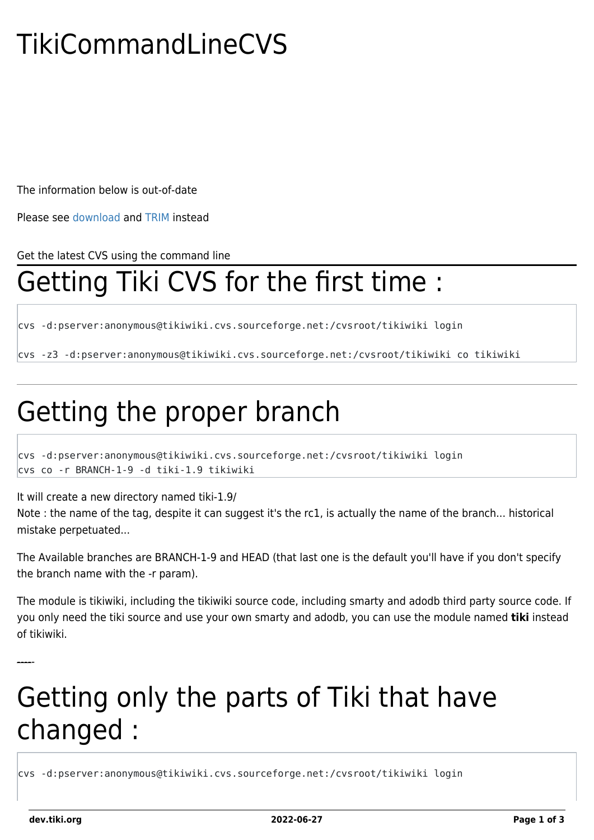# TikiCommandLineCVS

The information below is out-of-date

Please see [download](https://dev.tiki.org/download) and [TRIM](https://dev.tiki.org/TRIM) instead

Get the latest CVS using the command line

### Getting Tiki CVS for the first time :

cvs -d:pserver:anonymous@tikiwiki.cvs.sourceforge.net:/cvsroot/tikiwiki login

cvs -z3 -d:pserver:anonymous@tikiwiki.cvs.sourceforge.net:/cvsroot/tikiwiki co tikiwiki

## Getting the proper branch

cvs -d:pserver:anonymous@tikiwiki.cvs.sourceforge.net:/cvsroot/tikiwiki login cvs co -r BRANCH-1-9 -d tiki-1.9 tikiwiki

It will create a new directory named tiki-1.9/

Note : the name of the tag, despite it can suggest it's the rc1, is actually the name of the branch... historical mistake perpetuated...

The Available branches are BRANCH-1-9 and HEAD (that last one is the default you'll have if you don't specify the branch name with the -r param).

The module is tikiwiki, including the tikiwiki source code, including smarty and adodb third party source code. If you only need the tiki source and use your own smarty and adodb, you can use the module named **tiki** instead of tikiwiki.

## Getting only the parts of Tiki that have changed :

cvs -d:pserver:anonymous@tikiwiki.cvs.sourceforge.net:/cvsroot/tikiwiki login

-----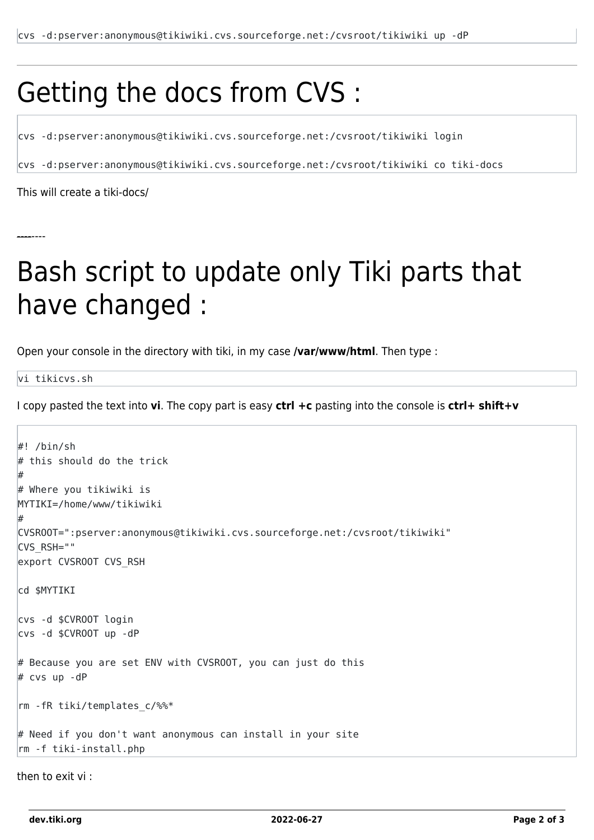#### Getting the docs from CVS :

cvs -d:pserver:anonymous@tikiwiki.cvs.sourceforge.net:/cvsroot/tikiwiki login

cvs -d:pserver:anonymous@tikiwiki.cvs.sourceforge.net:/cvsroot/tikiwiki co tiki-docs

This will create a tiki-docs/

--------

#### Bash script to update only Tiki parts that have changed :

Open your console in the directory with tiki, in my case **/var/www/html**. Then type :

vi tikicvs.sh

I copy pasted the text into **vi**. The copy part is easy **ctrl +c** pasting into the console is **ctrl+ shift+v**

```
#! /bin/sh
# this should do the trick
#
# Where you tikiwiki is
MYTIKI=/home/www/tikiwiki
#
CVSROOT=":pserver:anonymous@tikiwiki.cvs.sourceforge.net:/cvsroot/tikiwiki"
CVS_RSH=""
export CVSROOT CVS_RSH
cd $MYTIKI
cvs -d $CVROOT login
cvs -d $CVROOT up -dP
# Because you are set ENV with CVSROOT, you can just do this
# cvs up -dP
rm -fR tiki/templates c/%%*
# Need if you don't want anonymous can install in your site
rm -f tiki-install.php
```
then to exit vi :